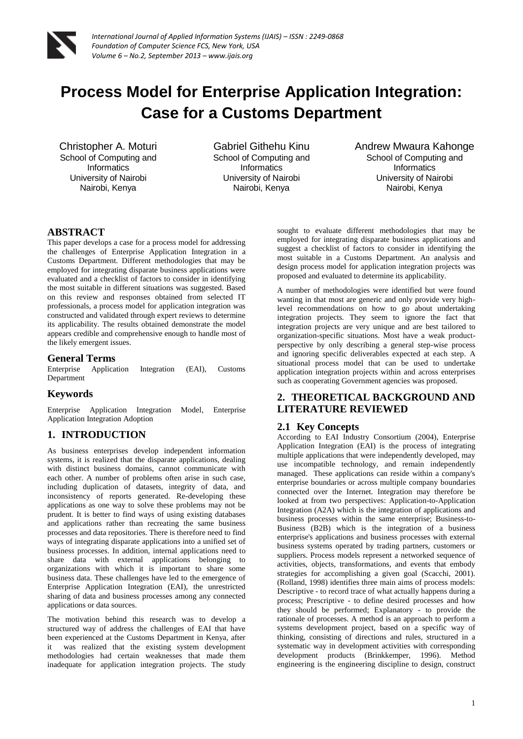

# **Process Model for Enterprise Application Integration: Case for a Customs Department**

Christopher A. Moturi School of Computing and **Informatics** University of Nairobi Nairobi, Kenya

Gabriel Githehu Kinu School of Computing and **Informatics** University of Nairobi Nairobi, Kenya

Andrew Mwaura Kahonge School of Computing and **Informatics** University of Nairobi Nairobi, Kenya

# **ABSTRACT**

This paper develops a case for a process model for addressing the challenges of Enterprise Application Integration in a Customs Department. Different methodologies that may be employed for integrating disparate business applications were evaluated and a checklist of factors to consider in identifying the most suitable in different situations was suggested. Based on this review and responses obtained from selected IT professionals, a process model for application integration was constructed and validated through expert reviews to determine its applicability. The results obtained demonstrate the model appears credible and comprehensive enough to handle most of the likely emergent issues.

# **General Terms**

Enterprise Application Integration (EAI), Customs Department

# **Keywords**

Enterprise Application Integration Model, Enterprise Application Integration Adoption

# **1. INTRODUCTION**

As business enterprises develop independent information systems, it is realized that the disparate applications, dealing with distinct business domains, cannot communicate with each other. A number of problems often arise in such case, including duplication of datasets, integrity of data, and inconsistency of reports generated. Re-developing these applications as one way to solve these problems may not be prudent. It is better to find ways of using existing databases and applications rather than recreating the same business processes and data repositories. There is therefore need to find ways of integrating disparate applications into a unified set of business processes. In addition, internal applications need to share data with external applications belonging to organizations with which it is important to share some business data. These challenges have led to the emergence of Enterprise Application Integration (EAI), the unrestricted sharing of data and business processes among any connected applications or data sources.

The motivation behind this research was to develop a structured way of address the challenges of EAI that have been experienced at the Customs Department in Kenya, after it was realized that the existing system development methodologies had certain weaknesses that made them inadequate for application integration projects. The study sought to evaluate different methodologies that may be employed for integrating disparate business applications and suggest a checklist of factors to consider in identifying the most suitable in a Customs Department. An analysis and design process model for application integration projects was proposed and evaluated to determine its applicability.

A number of methodologies were identified but were found wanting in that most are generic and only provide very highlevel recommendations on how to go about undertaking integration projects. They seem to ignore the fact that integration projects are very unique and are best tailored to organization-specific situations. Most have a weak productperspective by only describing a general step-wise process and ignoring specific deliverables expected at each step. A situational process model that can be used to undertake application integration projects within and across enterprises such as cooperating Government agencies was proposed.

# **2. THEORETICAL BACKGROUND AND LITERATURE REVIEWED**

# **2.1 Key Concepts**

According to EAI Industry Consortium (2004), Enterprise Application Integration (EAI) is the process of integrating multiple applications that were independently developed, may use incompatible technology, and remain independently managed. These applications can reside within a company's enterprise boundaries or across multiple company boundaries connected over the Internet. Integration may therefore be looked at from two perspectives: Application-to-Application Integration (A2A) which is the integration of applications and business processes within the same enterprise; Business-to-Business (B2B) which is the integration of a business enterprise's applications and business processes with external business systems operated by trading partners, customers or suppliers. Process models represent a networked sequence of activities, objects, transformations, and events that embody strategies for accomplishing a given goal (Scacchi, 2001). (Rolland, 1998) identifies three main aims of process models: Descriptive - to record trace of what actually happens during a process; Prescriptive - to define desired processes and how they should be performed; Explanatory - to provide the rationale of processes. A method is an approach to perform a systems development project, based on a specific way of thinking, consisting of directions and rules, structured in a systematic way in development activities with corresponding development products (Brinkkemper, 1996). Method engineering is the engineering discipline to design, construct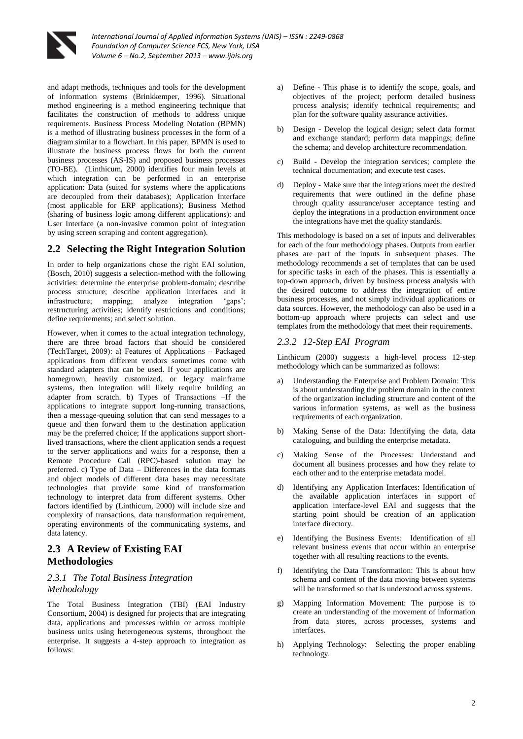

and adapt methods, techniques and tools for the development of information systems (Brinkkemper, 1996). Situational method engineering is a method engineering technique that facilitates the construction of methods to address unique requirements. Business Process Modeling Notation (BPMN) is a method of illustrating business processes in the form of a diagram similar to a flowchart. In this paper, BPMN is used to illustrate the business process flows for both the current business processes (AS-IS) and proposed business processes (TO-BE). (Linthicum, 2000) identifies four main levels at which integration can be performed in an enterprise application: Data (suited for systems where the applications are decoupled from their databases); Application Interface (most applicable for ERP applications); Business Method (sharing of business logic among different applications): and User Interface (a non-invasive common point of integration by using screen scraping and content aggregation).

# **2.2 Selecting the Right Integration Solution**

In order to help organizations chose the right EAI solution, (Bosch, 2010) suggests a selection-method with the following activities: determine the enterprise problem-domain; describe process structure; describe application interfaces and it infrastructure; mapping; analyze integration 'gaps'; restructuring activities; identify restrictions and conditions; define requirements; and select solution.

However, when it comes to the actual integration technology, there are three broad factors that should be considered (TechTarget, 2009): a) Features of Applications – Packaged applications from different vendors sometimes come with standard adapters that can be used. If your applications are homegrown, heavily customized, or legacy mainframe systems, then integration will likely require building an adapter from scratch. b) Types of Transactions –If the applications to integrate support long-running transactions, then a message-queuing solution that can send messages to a queue and then forward them to the destination application may be the preferred choice; If the applications support shortlived transactions, where the client application sends a request to the server applications and waits for a response, then a Remote Procedure Call (RPC)-based solution may be preferred. c) Type of Data – Differences in the data formats and object models of different data bases may necessitate technologies that provide some kind of transformation technology to interpret data from different systems. Other factors identified by (Linthicum, 2000) will include size and complexity of transactions, data transformation requirement, operating environments of the communicating systems, and data latency.

# **2.3 A Review of Existing EAI Methodologies**

# *2.3.1 The Total Business Integration Methodology*

The Total Business Integration (TBI) (EAI Industry Consortium, 2004) is designed for projects that are integrating data, applications and processes within or across multiple business units using heterogeneous systems, throughout the enterprise. It suggests a 4-step approach to integration as follows:

- a) Define This phase is to identify the scope, goals, and objectives of the project; perform detailed business process analysis; identify technical requirements; and plan for the software quality assurance activities.
- b) Design Develop the logical design; select data format and exchange standard; perform data mappings; define the schema; and develop architecture recommendation.
- c) Build Develop the integration services; complete the technical documentation; and execute test cases.
- d) Deploy Make sure that the integrations meet the desired requirements that were outlined in the define phase through quality assurance/user acceptance testing and deploy the integrations in a production environment once the integrations have met the quality standards.

This methodology is based on a set of inputs and deliverables for each of the four methodology phases. Outputs from earlier phases are part of the inputs in subsequent phases. The methodology recommends a set of templates that can be used for specific tasks in each of the phases. This is essentially a top-down approach, driven by business process analysis with the desired outcome to address the integration of entire business processes, and not simply individual applications or data sources. However, the methodology can also be used in a bottom-up approach where projects can select and use templates from the methodology that meet their requirements.

### *2.3.2 12-Step EAI Program*

Linthicum (2000) suggests a high-level process 12-step methodology which can be summarized as follows:

- a) Understanding the Enterprise and Problem Domain: This is about understanding the problem domain in the context of the organization including structure and content of the various information systems, as well as the business requirements of each organization.
- b) Making Sense of the Data: Identifying the data, data cataloguing, and building the enterprise metadata.
- c) Making Sense of the Processes: Understand and document all business processes and how they relate to each other and to the enterprise metadata model.
- d) Identifying any Application Interfaces: Identification of the available application interfaces in support of application interface-level EAI and suggests that the starting point should be creation of an application interface directory.
- e) Identifying the Business Events: Identification of all relevant business events that occur within an enterprise together with all resulting reactions to the events.
- f) Identifying the Data Transformation: This is about how schema and content of the data moving between systems will be transformed so that is understood across systems.
- g) Mapping Information Movement: The purpose is to create an understanding of the movement of information from data stores, across processes, systems and interfaces.
- h) Applying Technology: Selecting the proper enabling technology.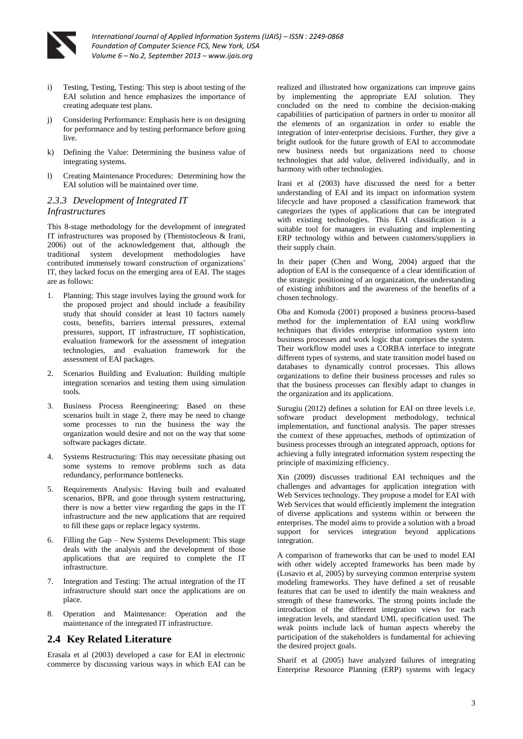

- i) Testing, Testing, Testing: This step is about testing of the EAI solution and hence emphasizes the importance of creating adequate test plans.
- j) Considering Performance: Emphasis here is on designing for performance and by testing performance before going live.
- k) Defining the Value: Determining the business value of integrating systems.
- l) Creating Maintenance Procedures: Determining how the EAI solution will be maintained over time.

### *2.3.3 Development of Integrated IT Infrastructures*

This 8-stage methodology for the development of integrated IT infrastructures was proposed by (Themistocleous & Irani, 2006) out of the acknowledgement that, although the traditional system development methodologies have contributed immensely toward construction of organizations' IT, they lacked focus on the emerging area of EAI. The stages are as follows:

- 1. Planning: This stage involves laying the ground work for the proposed project and should include a feasibility study that should consider at least 10 factors namely costs, benefits, barriers internal pressures, external pressures, support, IT infrastructure, IT sophistication, evaluation framework for the assessment of integration technologies, and evaluation framework for the assessment of EAI packages.
- 2. Scenarios Building and Evaluation: Building multiple integration scenarios and testing them using simulation tools.
- 3. Business Process Reengineering: Based on these scenarios built in stage 2, there may be need to change some processes to run the business the way the organization would desire and not on the way that some software packages dictate.
- 4. Systems Restructuring: This may necessitate phasing out some systems to remove problems such as data redundancy, performance bottlenecks.
- 5. Requirements Analysis: Having built and evaluated scenarios, BPR, and gone through system restructuring, there is now a better view regarding the gaps in the IT infrastructure and the new applications that are required to fill these gaps or replace legacy systems.
- 6. Filling the Gap New Systems Development: This stage deals with the analysis and the development of those applications that are required to complete the IT infrastructure.
- 7. Integration and Testing: The actual integration of the IT infrastructure should start once the applications are on place.
- 8. Operation and Maintenance: Operation and the maintenance of the integrated IT infrastructure.

# **2.4 Key Related Literature**

Erasala et al (2003) developed a case for EAI in electronic commerce by discussing various ways in which EAI can be

realized and illustrated how organizations can improve gains by implementing the appropriate EAI solution. They concluded on the need to combine the decision-making capabilities of participation of partners in order to monitor all the elements of an organization in order to enable the integration of inter-enterprise decisions. Further, they give a bright outlook for the future growth of EAI to accommodate new business needs but organizations need to choose technologies that add value, delivered individually, and in harmony with other technologies.

Irani et al (2003) have discussed the need for a better understanding of EAI and its impact on information system lifecycle and have proposed a classification framework that categorizes the types of applications that can be integrated with existing technologies. This EAI classification is a suitable tool for managers in evaluating and implementing ERP technology within and between customers/suppliers in their supply chain.

In their paper (Chen and Wong, 2004) argued that the adoption of EAI is the consequence of a clear identification of the strategic positioning of an organization, the understanding of existing inhibitors and the awareness of the benefits of a chosen technology.

Oba and Komoda (2001) proposed a business process-based method for the implementation of EAI using workflow techniques that divides enterprise information system into business processes and work logic that comprises the system. Their workflow model uses a CORBA interface to integrate different types of systems, and state transition model based on databases to dynamically control processes. This allows organizations to define their business processes and rules so that the business processes can flexibly adapt to changes in the organization and its applications.

Surugiu (2012) defines a solution for EAI on three levels i.e. software product development methodology, technical implementation, and functional analysis. The paper stresses the context of these approaches, methods of optimization of business processes through an integrated approach, options for achieving a fully integrated information system respecting the principle of maximizing efficiency.

Xin (2009) discusses traditional EAI techniques and the challenges and advantages for application integration with Web Services technology. They propose a model for EAI with Web Services that would efficiently implement the integration of diverse applications and systems within or between the enterprises. The model aims to provide a solution with a broad support for services integration beyond applications integration.

A comparison of frameworks that can be used to model EAI with other widely accepted frameworks has been made by (Losavio et al, 2005) by surveying common enterprise system modeling frameworks. They have defined a set of reusable features that can be used to identify the main weakness and strength of these frameworks. The strong points include the introduction of the different integration views for each integration levels, and standard UML specification used. The weak points include lack of human aspects whereby the participation of the stakeholders is fundamental for achieving the desired project goals.

Sharif et al (2005) have analyzed failures of integrating Enterprise Resource Planning (ERP) systems with legacy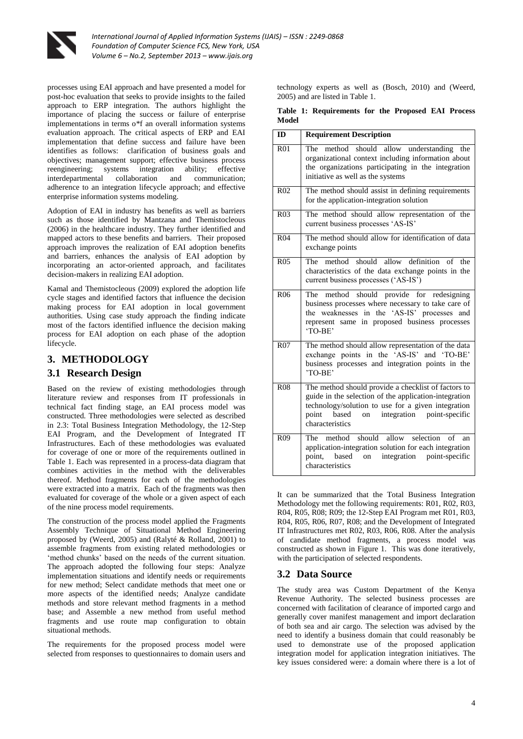

processes using EAI approach and have presented a model for post-hoc evaluation that seeks to provide insights to the failed approach to ERP integration. The authors highlight the importance of placing the success or failure of enterprise implementations in terms o\*f an overall information systems evaluation approach. The critical aspects of ERP and EAI implementation that define success and failure have been identifies as follows: clarification of business goals and objectives; management support; effective business process reengineering; systems integration ability; effective interdepartmental collaboration and communication; adherence to an integration lifecycle approach; and effective enterprise information systems modeling.

Adoption of EAI in industry has benefits as well as barriers such as those identified by Mantzana and Themistocleous (2006) in the healthcare industry. They further identified and mapped actors to these benefits and barriers. Their proposed approach improves the realization of EAI adoption benefits and barriers, enhances the analysis of EAI adoption by incorporating an actor-oriented approach, and facilitates decision-makers in realizing EAI adoption.

Kamal and Themistocleous (2009) explored the adoption life cycle stages and identified factors that influence the decision making process for EAI adoption in local government authorities. Using case study approach the finding indicate most of the factors identified influence the decision making process for EAI adoption on each phase of the adoption lifecycle.

# **3. METHODOLOGY**

# **3.1 Research Design**

Based on the review of existing methodologies through literature review and responses from IT professionals in technical fact finding stage, an EAI process model was constructed. Three methodologies were selected as described in 2.3: Total Business Integration Methodology, the 12-Step EAI Program, and the Development of Integrated IT Infrastructures. Each of these methodologies was evaluated for coverage of one or more of the requirements outlined in Table 1. Each was represented in a process-data diagram that combines activities in the method with the deliverables thereof. Method fragments for each of the methodologies were extracted into a matrix. Each of the fragments was then evaluated for coverage of the whole or a given aspect of each of the nine process model requirements.

The construction of the process model applied the Fragments Assembly Technique of Situational Method Engineering proposed by (Weerd, 2005) and (Ralyté & Rolland, 2001) to assemble fragments from existing related methodologies or 'method chunks' based on the needs of the current situation. The approach adopted the following four steps: Analyze implementation situations and identify needs or requirements for new method; Select candidate methods that meet one or more aspects of the identified needs; Analyze candidate methods and store relevant method fragments in a method base; and Assemble a new method from useful method fragments and use route map configuration to obtain situational methods.

The requirements for the proposed process model were selected from responses to questionnaires to domain users and technology experts as well as (Bosch, 2010) and (Weerd, 2005) and are listed in Table 1.

|       | Table 1: Requirements for the Proposed EAI Process |  |  |  |
|-------|----------------------------------------------------|--|--|--|
| Model |                                                    |  |  |  |

| ID              | <b>Requirement Description</b>                                                                                                                                                                                                                 |
|-----------------|------------------------------------------------------------------------------------------------------------------------------------------------------------------------------------------------------------------------------------------------|
| R <sub>01</sub> | method should allow understanding the<br>The<br>organizational context including information about<br>the organizations participating in the integration<br>initiative as well as the systems                                                  |
| R <sub>02</sub> | The method should assist in defining requirements<br>for the application-integration solution                                                                                                                                                  |
| R <sub>03</sub> | The method should allow representation of the<br>current business processes 'AS-IS'                                                                                                                                                            |
| R <sub>04</sub> | The method should allow for identification of data<br>exchange points                                                                                                                                                                          |
| R <sub>05</sub> | method should allow definition of the<br>The<br>characteristics of the data exchange points in the<br>current business processes ('AS-IS')                                                                                                     |
| R <sub>06</sub> | should provide for redesigning<br>The method<br>business processes where necessary to take care of<br>the weaknesses in the 'AS-IS' processes and<br>represent same in proposed business processes<br>'TO-BE'                                  |
| R <sub>07</sub> | The method should allow representation of the data<br>exchange points in the 'AS-IS' and 'TO-BE'<br>business processes and integration points in the<br>'TO-BE'                                                                                |
| <b>R08</b>      | The method should provide a checklist of factors to<br>guide in the selection of the application-integration<br>technology/solution to use for a given integration<br>integration<br>point<br>based<br>on<br>point-specific<br>characteristics |
| R <sub>09</sub> | The method should<br>allow selection<br>of<br>an<br>application-integration solution for each integration<br>integration point-specific<br>point, based<br>on<br>characteristics                                                               |

It can be summarized that the Total Business Integration Methodology met the following requirements: R01, R02, R03, R04, R05, R08; R09; the 12-Step EAI Program met R01, R03, R04, R05, R06, R07, R08; and the Development of Integrated IT Infrastructures met R02, R03, R06, R08. After the analysis of candidate method fragments, a process model was constructed as shown in Figure 1. This was done iteratively, with the participation of selected respondents.

# **3.2 Data Source**

The study area was Custom Department of the Kenya Revenue Authority. The selected business processes are concerned with facilitation of clearance of imported cargo and generally cover manifest management and import declaration of both sea and air cargo. The selection was advised by the need to identify a business domain that could reasonably be used to demonstrate use of the proposed application integration model for application integration initiatives. The key issues considered were: a domain where there is a lot of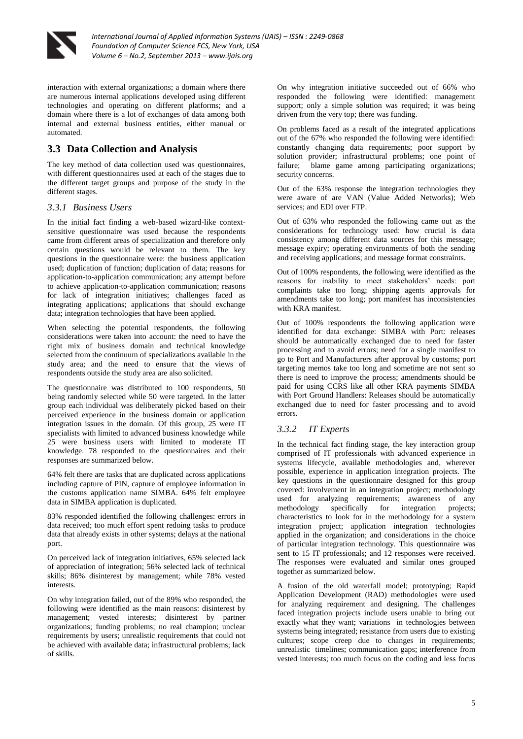

interaction with external organizations; a domain where there are numerous internal applications developed using different technologies and operating on different platforms; and a domain where there is a lot of exchanges of data among both internal and external business entities, either manual or automated.

# **3.3 Data Collection and Analysis**

The key method of data collection used was questionnaires, with different questionnaires used at each of the stages due to the different target groups and purpose of the study in the different stages.

# *3.3.1 Business Users*

In the initial fact finding a web-based wizard-like contextsensitive questionnaire was used because the respondents came from different areas of specialization and therefore only certain questions would be relevant to them. The key questions in the questionnaire were: the business application used; duplication of function; duplication of data; reasons for application-to-application communication; any attempt before to achieve application-to-application communication; reasons for lack of integration initiatives; challenges faced as integrating applications; applications that should exchange data; integration technologies that have been applied.

When selecting the potential respondents, the following considerations were taken into account: the need to have the right mix of business domain and technical knowledge selected from the continuum of specializations available in the study area; and the need to ensure that the views of respondents outside the study area are also solicited.

The questionnaire was distributed to 100 respondents, 50 being randomly selected while 50 were targeted. In the latter group each individual was deliberately picked based on their perceived experience in the business domain or application integration issues in the domain. Of this group, 25 were IT specialists with limited to advanced business knowledge while 25 were business users with limited to moderate IT knowledge. 78 responded to the questionnaires and their responses are summarized below.

64% felt there are tasks that are duplicated across applications including capture of PIN, capture of employee information in the customs application name SIMBA. 64% felt employee data in SIMBA application is duplicated.

83% responded identified the following challenges: errors in data received; too much effort spent redoing tasks to produce data that already exists in other systems; delays at the national port.

On perceived lack of integration initiatives, 65% selected lack of appreciation of integration; 56% selected lack of technical skills; 86% disinterest by management; while 78% vested interests.

On why integration failed, out of the 89% who responded, the following were identified as the main reasons: disinterest by management; vested interests; disinterest by partner organizations; funding problems; no real champion; unclear requirements by users; unrealistic requirements that could not be achieved with available data; infrastructural problems; lack of skills.

On why integration initiative succeeded out of 66% who responded the following were identified: management support; only a simple solution was required; it was being driven from the very top; there was funding.

On problems faced as a result of the integrated applications out of the 67% who responded the following were identified: constantly changing data requirements; poor support by solution provider; infrastructural problems; one point of failure; blame game among participating organizations; security concerns.

Out of the 63% response the integration technologies they were aware of are VAN (Value Added Networks); Web services; and EDI over FTP.

Out of 63% who responded the following came out as the considerations for technology used: how crucial is data consistency among different data sources for this message; message expiry; operating environments of both the sending and receiving applications; and message format constraints.

Out of 100% respondents, the following were identified as the reasons for inability to meet stakeholders' needs: port complaints take too long; shipping agents approvals for amendments take too long; port manifest has inconsistencies with KRA manifest.

Out of 100% respondents the following application were identified for data exchange: SIMBA with Port: releases should be automatically exchanged due to need for faster processing and to avoid errors; need for a single manifest to go to Port and Manufacturers after approval by customs; port targeting memos take too long and sometime are not sent so there is need to improve the process; amendments should be paid for using CCRS like all other KRA payments SIMBA with Port Ground Handlers: Releases should be automatically exchanged due to need for faster processing and to avoid errors.

# *3.3.2 IT Experts*

In the technical fact finding stage, the key interaction group comprised of IT professionals with advanced experience in systems lifecycle, available methodologies and, wherever possible, experience in application integration projects. The key questions in the questionnaire designed for this group covered: involvement in an integration project; methodology used for analyzing requirements; awareness of any methodology specifically for integration projects; characteristics to look for in the methodology for a system integration project; application integration technologies applied in the organization; and considerations in the choice of particular integration technology. This questionnaire was sent to 15 IT professionals; and 12 responses were received. The responses were evaluated and similar ones grouped together as summarized below.

A fusion of the old waterfall model; prototyping; Rapid Application Development (RAD) methodologies were used for analyzing requirement and designing. The challenges faced integration projects include users unable to bring out exactly what they want; variations in technologies between systems being integrated; resistance from users due to existing cultures; scope creep due to changes in requirements; unrealistic timelines; communication gaps; interference from vested interests; too much focus on the coding and less focus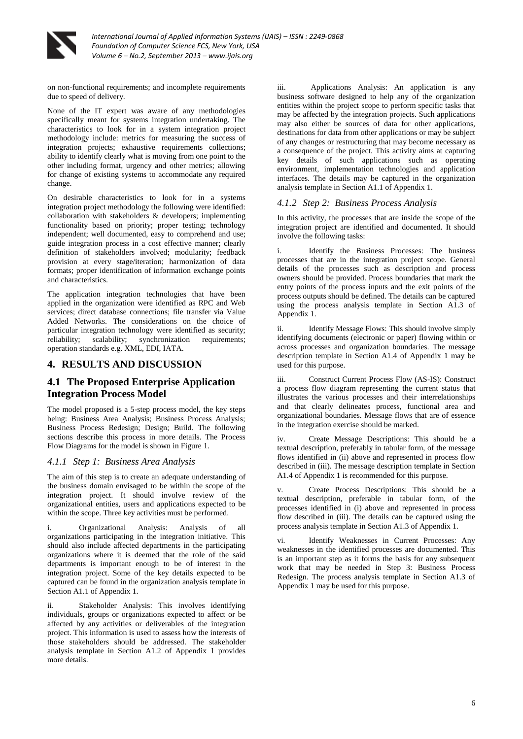

on non-functional requirements; and incomplete requirements due to speed of delivery.

None of the IT expert was aware of any methodologies specifically meant for systems integration undertaking. The characteristics to look for in a system integration project methodology include: metrics for measuring the success of integration projects; exhaustive requirements collections; ability to identify clearly what is moving from one point to the other including format, urgency and other metrics; allowing for change of existing systems to accommodate any required change.

On desirable characteristics to look for in a systems integration project methodology the following were identified: collaboration with stakeholders & developers; implementing functionality based on priority; proper testing; technology independent; well documented, easy to comprehend and use; guide integration process in a cost effective manner; clearly definition of stakeholders involved; modularity; feedback provision at every stage/iteration; harmonization of data formats; proper identification of information exchange points and characteristics.

The application integration technologies that have been applied in the organization were identified as RPC and Web services; direct database connections; file transfer via Value Added Networks. The considerations on the choice of particular integration technology were identified as security; reliability; scalability; synchronization requirements; operation standards e.g. XML, EDI, IATA.

# **4. RESULTS AND DISCUSSION**

# **4.1 The Proposed Enterprise Application Integration Process Model**

The model proposed is a 5-step process model, the key steps being: Business Area Analysis; Business Process Analysis; Business Process Redesign; Design; Build. The following sections describe this process in more details. The Process Flow Diagrams for the model is shown in Figure 1.

### *4.1.1 Step 1: Business Area Analysis*

The aim of this step is to create an adequate understanding of the business domain envisaged to be within the scope of the integration project. It should involve review of the organizational entities, users and applications expected to be within the scope. Three key activities must be performed.

i. Organizational Analysis: Analysis of all organizations participating in the integration initiative. This should also include affected departments in the participating organizations where it is deemed that the role of the said departments is important enough to be of interest in the integration project. Some of the key details expected to be captured can be found in the organization analysis template in Section A1.1 of Appendix 1.

ii. Stakeholder Analysis: This involves identifying individuals, groups or organizations expected to affect or be affected by any activities or deliverables of the integration project. This information is used to assess how the interests of those stakeholders should be addressed. The stakeholder analysis template in Section A1.2 of Appendix 1 provides more details.

iii. Applications Analysis: An application is any business software designed to help any of the organization entities within the project scope to perform specific tasks that may be affected by the integration projects. Such applications may also either be sources of data for other applications, destinations for data from other applications or may be subject of any changes or restructuring that may become necessary as a consequence of the project. This activity aims at capturing key details of such applications such as operating environment, implementation technologies and application interfaces. The details may be captured in the organization analysis template in Section A1.1 of Appendix 1.

### *4.1.2 Step 2: Business Process Analysis*

In this activity, the processes that are inside the scope of the integration project are identified and documented. It should involve the following tasks:

Identify the Business Processes: The business processes that are in the integration project scope. General details of the processes such as description and process owners should be provided. Process boundaries that mark the entry points of the process inputs and the exit points of the process outputs should be defined. The details can be captured using the process analysis template in Section A1.3 of Appendix 1.

ii. Identify Message Flows: This should involve simply identifying documents (electronic or paper) flowing within or across processes and organization boundaries. The message description template in Section A1.4 of Appendix 1 may be used for this purpose.

iii. Construct Current Process Flow (AS-IS): Construct a process flow diagram representing the current status that illustrates the various processes and their interrelationships and that clearly delineates process, functional area and organizational boundaries. Message flows that are of essence in the integration exercise should be marked.

iv. Create Message Descriptions: This should be a textual description, preferably in tabular form, of the message flows identified in (ii) above and represented in process flow described in (iii). The message description template in Section A1.4 of Appendix 1 is recommended for this purpose.

v. Create Process Descriptions: This should be a textual description, preferable in tabular form, of the processes identified in (i) above and represented in process flow described in (iii). The details can be captured using the process analysis template in Section A1.3 of Appendix 1.

vi. Identify Weaknesses in Current Processes: Any weaknesses in the identified processes are documented. This is an important step as it forms the basis for any subsequent work that may be needed in Step 3: Business Process Redesign. The process analysis template in Section A1.3 of Appendix 1 may be used for this purpose.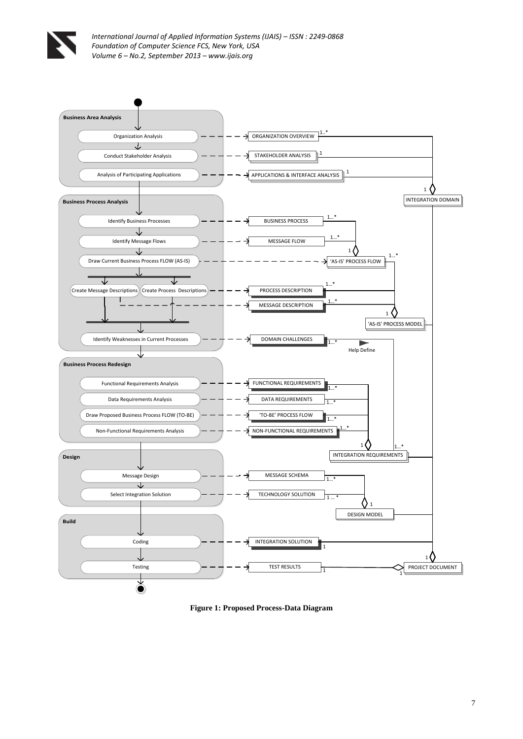



**Figure 1: Proposed Process-Data Diagram**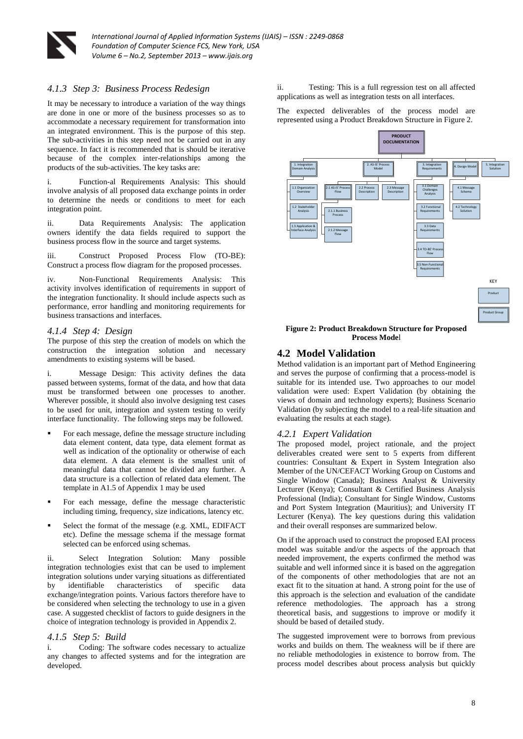

### *4.1.3 Step 3: Business Process Redesign*

It may be necessary to introduce a variation of the way things are done in one or more of the business processes so as to accommodate a necessary requirement for transformation into an integrated environment. This is the purpose of this step. The sub-activities in this step need not be carried out in any sequence. In fact it is recommended that is should be iterative because of the complex inter-relationships among the products of the sub-activities. The key tasks are:

i. Function-al Requirements Analysis: This should involve analysis of all proposed data exchange points in order to determine the needs or conditions to meet for each integration point.

ii. Data Requirements Analysis: The application owners identify the data fields required to support the business process flow in the source and target systems.

iii. Construct Proposed Process Flow (TO-BE): Construct a process flow diagram for the proposed processes.

iv. Non-Functional Requirements Analysis: This activity involves identification of requirements in support of the integration functionality. It should include aspects such as performance, error handling and monitoring requirements for business transactions and interfaces.

#### *4.1.4 Step 4: Design*

The purpose of this step the creation of models on which the construction the integration solution and necessary amendments to existing systems will be based.

i. Message Design: This activity defines the data passed between systems, format of the data, and how that data must be transformed between one processes to another. Wherever possible, it should also involve designing test cases to be used for unit, integration and system testing to verify interface functionality. The following steps may be followed.

- For each message, define the message structure including data element content, data type, data element format as well as indication of the optionality or otherwise of each data element. A data element is the smallest unit of meaningful data that cannot be divided any further. A data structure is a collection of related data element. The template in A1.5 of Appendix 1 may be used
- For each message, define the message characteristic including timing, frequency, size indications, latency etc.
- Select the format of the message (e.g. XML, EDIFACT etc). Define the message schema if the message format selected can be enforced using schemas.

ii. Select Integration Solution: Many possible integration technologies exist that can be used to implement integration solutions under varying situations as differentiated by identifiable characteristics of specific data exchange/integration points. Various factors therefore have to be considered when selecting the technology to use in a given case. A suggested checklist of factors to guide designers in the choice of integration technology is provided in Appendix 2.

### *4.1.5 Step 5: Build*

i. Coding: The software codes necessary to actualize any changes to affected systems and for the integration are developed.

ii. Testing: This is a full regression test on all affected applications as well as integration tests on all interfaces.

The expected deliverables of the process model are represented using a Product Breakdown Structure in Figure 2.



#### **Figure 2: Product Breakdown Structure for Proposed Process Mode**l

### **4.2 Model Validation**

Method validation is an important part of Method Engineering and serves the purpose of confirming that a process-model is suitable for its intended use. Two approaches to our model validation were used: Expert Validation (by obtaining the views of domain and technology experts); Business Scenario Validation (by subjecting the model to a real-life situation and evaluating the results at each stage).

### *4.2.1 Expert Validation*

The proposed model, project rationale, and the project deliverables created were sent to 5 experts from different countries: Consultant & Expert in System Integration also Member of the UN/CEFACT Working Group on Customs and Single Window (Canada); Business Analyst & University Lecturer (Kenya); Consultant & Certified Business Analysis Professional (India); Consultant for Single Window, Customs and Port System Integration (Mauritius); and University IT Lecturer (Kenya). The key questions during this validation and their overall responses are summarized below.

On if the approach used to construct the proposed EAI process model was suitable and/or the aspects of the approach that needed improvement, the experts confirmed the method was suitable and well informed since it is based on the aggregation of the components of other methodologies that are not an exact fit to the situation at hand. A strong point for the use of this approach is the selection and evaluation of the candidate reference methodologies. The approach has a strong theoretical basis, and suggestions to improve or modify it should be based of detailed study.

The suggested improvement were to borrows from previous works and builds on them. The weakness will be if there are no reliable methodologies in existence to borrow from. The process model describes about process analysis but quickly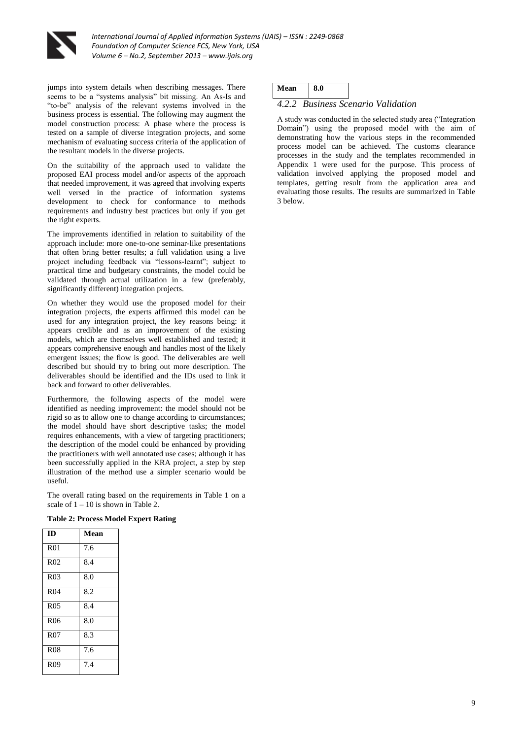

jumps into system details when describing messages. There seems to be a "systems analysis" bit missing. An As-Is and "to-be" analysis of the relevant systems involved in the business process is essential. The following may augment the model construction process: A phase where the process is tested on a sample of diverse integration projects, and some mechanism of evaluating success criteria of the application of the resultant models in the diverse projects.

On the suitability of the approach used to validate the proposed EAI process model and/or aspects of the approach that needed improvement, it was agreed that involving experts well versed in the practice of information systems development to check for conformance to methods requirements and industry best practices but only if you get the right experts.

The improvements identified in relation to suitability of the approach include: more one-to-one seminar-like presentations that often bring better results; a full validation using a live project including feedback via "lessons-learnt"; subject to practical time and budgetary constraints, the model could be validated through actual utilization in a few (preferably, significantly different) integration projects.

On whether they would use the proposed model for their integration projects, the experts affirmed this model can be used for any integration project, the key reasons being: it appears credible and as an improvement of the existing models, which are themselves well established and tested; it appears comprehensive enough and handles most of the likely emergent issues; the flow is good. The deliverables are well described but should try to bring out more description. The deliverables should be identified and the IDs used to link it back and forward to other deliverables.

Furthermore, the following aspects of the model were identified as needing improvement: the model should not be rigid so as to allow one to change according to circumstances; the model should have short descriptive tasks; the model requires enhancements, with a view of targeting practitioners; the description of the model could be enhanced by providing the practitioners with well annotated use cases; although it has been successfully applied in the KRA project, a step by step illustration of the method use a simpler scenario would be useful.

The overall rating based on the requirements in Table 1 on a scale of  $1 - 10$  is shown in Table 2.

#### **Table 2: Process Model Expert Rating**

| m               | Mean |
|-----------------|------|
| R <sub>01</sub> | 7.6  |
| R <sub>02</sub> | 8.4  |
| R <sub>03</sub> | 8.0  |
| R <sub>04</sub> | 8.2  |
| <b>R05</b>      | 8.4  |
| <b>R06</b>      | 8.0  |
| R <sub>07</sub> | 8.3  |
| R <sub>08</sub> | 7.6  |
| R <sub>09</sub> | 7.4  |

| Mean $\vert$ 8.0 |  |                                    |
|------------------|--|------------------------------------|
|                  |  | 4.2.2 Business Scenario Validation |

A study was conducted in the selected study area ("Integration Domain") using the proposed model with the aim of demonstrating how the various steps in the recommended process model can be achieved. The customs clearance processes in the study and the templates recommended in Appendix 1 were used for the purpose. This process of validation involved applying the proposed model and templates, getting result from the application area and evaluating those results. The results are summarized in Table 3 below.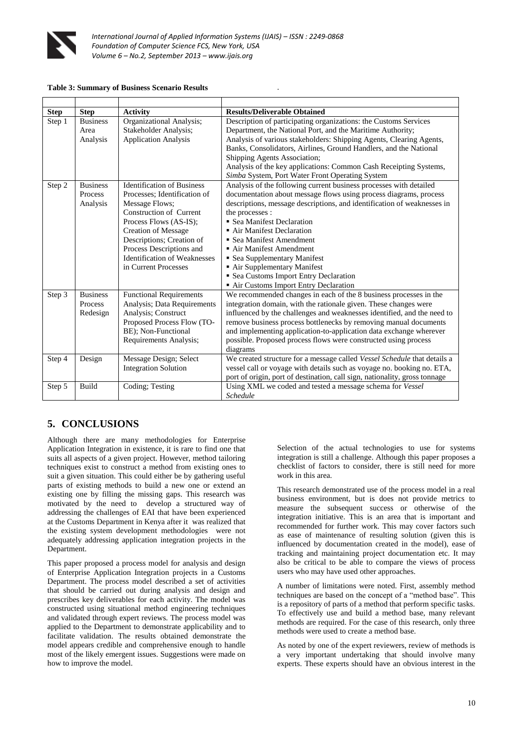

#### **Table 3: Summary of Business Scenario Results** .

| <b>Step</b>      | <b>Step</b>                                      | <b>Activity</b>                                                                                                                                                                                                                                                                                | <b>Results/Deliverable Obtained</b>                                                                                                                                                                                                                                                                                                                                                                                                                                                                                   |
|------------------|--------------------------------------------------|------------------------------------------------------------------------------------------------------------------------------------------------------------------------------------------------------------------------------------------------------------------------------------------------|-----------------------------------------------------------------------------------------------------------------------------------------------------------------------------------------------------------------------------------------------------------------------------------------------------------------------------------------------------------------------------------------------------------------------------------------------------------------------------------------------------------------------|
| Step 1           | <b>Business</b><br>Area<br>Analysis              | Organizational Analysis;<br>Stakeholder Analysis;<br><b>Application Analysis</b>                                                                                                                                                                                                               | Description of participating organizations: the Customs Services<br>Department, the National Port, and the Maritime Authority;<br>Analysis of various stakeholders: Shipping Agents, Clearing Agents,<br>Banks, Consolidators, Airlines, Ground Handlers, and the National<br>Shipping Agents Association;<br>Analysis of the key applications: Common Cash Receipting Systems,<br>Simba System, Port Water Front Operating System                                                                                    |
| Step 2           | <b>Business</b><br><b>Process</b><br>Analysis    | <b>Identification of Business</b><br>Processes: Identification of<br>Message Flows;<br>Construction of Current<br>Process Flows (AS-IS);<br><b>Creation of Message</b><br>Descriptions; Creation of<br>Process Descriptions and<br><b>Identification of Weaknesses</b><br>in Current Processes | Analysis of the following current business processes with detailed<br>documentation about message flows using process diagrams, process<br>descriptions, message descriptions, and identification of weaknesses in<br>the processes:<br>• Sea Manifest Declaration<br>Air Manifest Declaration<br>• Sea Manifest Amendment<br>Air Manifest Amendment<br>• Sea Supplementary Manifest<br>Air Supplementary Manifest<br>• Sea Customs Import Entry Declaration<br>Air Customs Import Entry Declaration                  |
| Step 3<br>Step 4 | <b>Business</b><br>Process<br>Redesign<br>Design | <b>Functional Requirements</b><br>Analysis; Data Requirements<br>Analysis; Construct<br>Proposed Process Flow (TO-<br>BE); Non-Functional<br>Requirements Analysis;<br>Message Design; Select                                                                                                  | We recommended changes in each of the 8 business processes in the<br>integration domain, with the rationale given. These changes were<br>influenced by the challenges and weaknesses identified, and the need to<br>remove business process bottlenecks by removing manual documents<br>and implementing application-to-application data exchange wherever<br>possible. Proposed process flows were constructed using process<br>diagrams<br>We created structure for a message called Vessel Schedule that details a |
|                  |                                                  | <b>Integration Solution</b>                                                                                                                                                                                                                                                                    | vessel call or voyage with details such as voyage no. booking no. ETA,<br>port of origin, port of destination, call sign, nationality, gross tonnage                                                                                                                                                                                                                                                                                                                                                                  |
| Step 5           | Build                                            | Coding; Testing                                                                                                                                                                                                                                                                                | Using XML we coded and tested a message schema for Vessel<br>Schedule                                                                                                                                                                                                                                                                                                                                                                                                                                                 |

# **5. CONCLUSIONS**

Although there are many methodologies for Enterprise Application Integration in existence, it is rare to find one that suits all aspects of a given project. However, method tailoring techniques exist to construct a method from existing ones to suit a given situation. This could either be by gathering useful parts of existing methods to build a new one or extend an existing one by filling the missing gaps. This research was motivated by the need to develop a structured way of addressing the challenges of EAI that have been experienced at the Customs Department in Kenya after it was realized that the existing system development methodologies were not adequately addressing application integration projects in the Department.

This paper proposed a process model for analysis and design of Enterprise Application Integration projects in a Customs Department. The process model described a set of activities that should be carried out during analysis and design and prescribes key deliverables for each activity. The model was constructed using situational method engineering techniques and validated through expert reviews. The process model was applied to the Department to demonstrate applicability and to facilitate validation. The results obtained demonstrate the model appears credible and comprehensive enough to handle most of the likely emergent issues. Suggestions were made on how to improve the model.

Selection of the actual technologies to use for systems integration is still a challenge. Although this paper proposes a checklist of factors to consider, there is still need for more work in this area.

This research demonstrated use of the process model in a real business environment, but is does not provide metrics to measure the subsequent success or otherwise of the integration initiative. This is an area that is important and recommended for further work. This may cover factors such as ease of maintenance of resulting solution (given this is influenced by documentation created in the model), ease of tracking and maintaining project documentation etc. It may also be critical to be able to compare the views of process users who may have used other approaches.

A number of limitations were noted. First, assembly method techniques are based on the concept of a "method base". This is a repository of parts of a method that perform specific tasks. To effectively use and build a method base, many relevant methods are required. For the case of this research, only three methods were used to create a method base.

As noted by one of the expert reviewers, review of methods is a very important undertaking that should involve many experts. These experts should have an obvious interest in the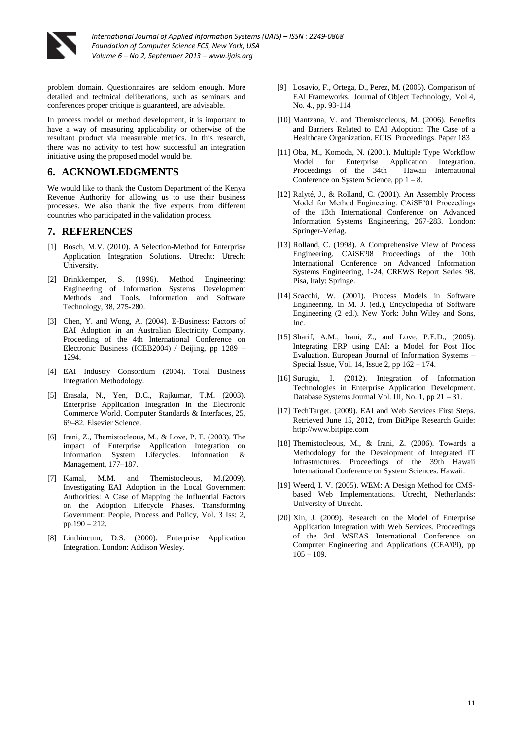

problem domain. Questionnaires are seldom enough. More detailed and technical deliberations, such as seminars and conferences proper critique is guaranteed, are advisable.

In process model or method development, it is important to have a way of measuring applicability or otherwise of the resultant product via measurable metrics. In this research, there was no activity to test how successful an integration initiative using the proposed model would be.

# **6. ACKNOWLEDGMENTS**

We would like to thank the Custom Department of the Kenya Revenue Authority for allowing us to use their business processes. We also thank the five experts from different countries who participated in the validation process.

# **7. REFERENCES**

- [1] Bosch, M.V. (2010). A Selection-Method for Enterprise Application Integration Solutions. Utrecht: Utrecht University.
- [2] Brinkkemper, S. (1996). Method Engineering: Engineering of Information Systems Development Information and Software Technology, 38, 275-280.
- [3] Chen, Y. and Wong, A. (2004). E-Business: Factors of EAI Adoption in an Australian Electricity Company. Proceeding of the 4th International Conference on Electronic Business (ICEB2004) / Beijing, pp 1289 – 1294.
- [4] EAI Industry Consortium (2004). Total Business Integration Methodology.
- [5] Erasala, N., Yen, D.C., Rajkumar, T.M. (2003). Enterprise Application Integration in the Electronic Commerce World. Computer Standards & Interfaces, 25, 69–82. Elsevier Science.
- [6] Irani, Z., Themistocleous, M., & Love, P. E. (2003). The impact of Enterprise Application Integration on Information System Lifecycles. Information & Management, 177–187.
- [7] Kamal, M.M. and Themistocleous, M.(2009). Investigating EAI Adoption in the Local Government Authorities: A Case of Mapping the Influential Factors on the Adoption Lifecycle Phases. Transforming Government: People, Process and Policy, Vol. 3 Iss: 2, pp.190 – 212.
- [8] Linthincum, D.S. (2000). Enterprise Application Integration. London: Addison Wesley.
- [9] Losavio, F., Ortega, D., Perez, M. (2005). Comparison of EAI Frameworks. Journal of Object Technology, Vol 4, No. 4., pp. 93-114
- [10] Mantzana, V. and Themistocleous, M. (2006). Benefits and Barriers Related to EAI Adoption: The Case of a Healthcare Organization. ECIS Proceedings. Paper 183
- [11] Oba, M., Komoda, N. (2001). Multiple Type Workflow Model for Enterprise Application Integration.<br>Proceedings of the 34th Hawaii International Proceedings of the 34th Conference on System Science, pp  $1 - 8$ .
- [12] Ralyté, J., & Rolland, C. (2001). An Assembly Process Model for Method Engineering. CAiSE'01 Proceedings of the 13th International Conference on Advanced Information Systems Engineering, 267-283. London: Springer-Verlag.
- [13] Rolland, C. (1998). A Comprehensive View of Process Engineering. CAiSE'98 Proceedings of the 10th International Conference on Advanced Information Systems Engineering, 1-24, CREWS Report Series 98. Pisa, Italy: Springe.
- [14] Scacchi, W. (2001). Process Models in Software Engineering. In M. J. (ed.), Encyclopedia of Software Engineering (2 ed.). New York: John Wiley and Sons, Inc.
- [15] Sharif, A.M., Irani, Z., and Love, P.E.D., (2005). Integrating ERP using EAI: a Model for Post Hoc Evaluation. European Journal of Information Systems – Special Issue, Vol. 14, Issue 2, pp 162 – 174.
- [16] Surugiu, I. (2012). Integration of Information Technologies in Enterprise Application Development. Database Systems Journal Vol. III, No. 1, pp  $21 - 31$ .
- [17] TechTarget. (2009). EAI and Web Services First Steps. Retrieved June 15, 2012, from BitPipe Research Guide: http://www.bitpipe.com
- [18] Themistocleous, M., & Irani, Z. (2006). Towards a Methodology for the Development of Integrated IT Infrastructures. Proceedings of the 39th Hawaii International Conference on System Sciences. Hawaii.
- [19] Weerd, I. V. (2005). WEM: A Design Method for CMSbased Web Implementations. Utrecht, Netherlands: University of Utrecht.
- [20] Xin, J. (2009). Research on the Model of Enterprise Application Integration with Web Services. Proceedings of the 3rd WSEAS International Conference on Computer Engineering and Applications (CEA'09), pp  $105 - 109.$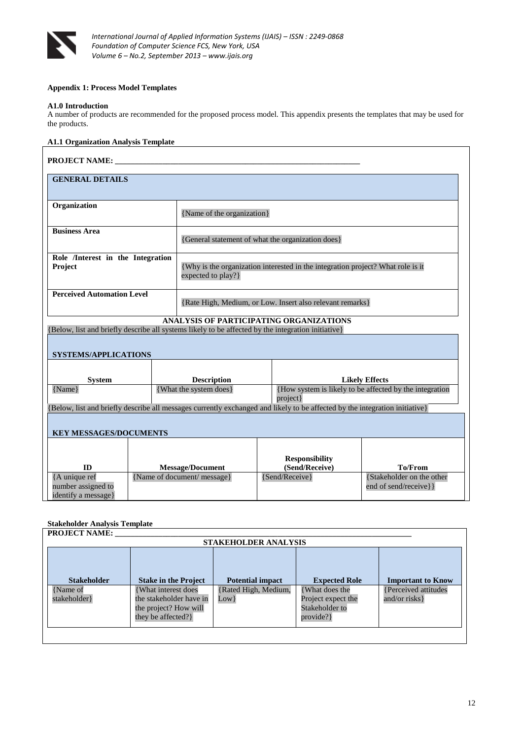

### **Appendix 1: Process Model Templates**

#### **A1.0 Introduction**

A number of products are recommended for the proposed process model. This appendix presents the templates that may be used for the products.

### **A1.1 Organization Analysis Template**

| <b>PROJECT NAME:</b>                                       |  |                                                                                                                                               |                                                                                                                                               |                                                    |  |  |
|------------------------------------------------------------|--|-----------------------------------------------------------------------------------------------------------------------------------------------|-----------------------------------------------------------------------------------------------------------------------------------------------|----------------------------------------------------|--|--|
| <b>GENERAL DETAILS</b>                                     |  |                                                                                                                                               |                                                                                                                                               |                                                    |  |  |
| Organization                                               |  | {Name of the organization}                                                                                                                    |                                                                                                                                               |                                                    |  |  |
| <b>Business Area</b>                                       |  |                                                                                                                                               | {General statement of what the organization does}                                                                                             |                                                    |  |  |
| Role /Interest in the Integration<br>Project               |  | expected to play?}                                                                                                                            | {Why is the organization interested in the integration project? What role is it                                                               |                                                    |  |  |
| <b>Perceived Automation Level</b>                          |  | {Rate High, Medium, or Low. Insert also relevant remarks}                                                                                     |                                                                                                                                               |                                                    |  |  |
|                                                            |  |                                                                                                                                               | ANALYSIS OF PARTICIPATING ORGANIZATIONS<br>{Below, list and briefly describe all systems likely to be affected by the integration initiative} |                                                    |  |  |
| <b>SYSTEMS/APPLICATIONS</b>                                |  |                                                                                                                                               |                                                                                                                                               |                                                    |  |  |
| <b>System</b><br>{Name}                                    |  | <b>Description</b><br><b>Likely Effects</b><br>{How system is likely to be affected by the integration<br>{What the system does}<br>project } |                                                                                                                                               |                                                    |  |  |
|                                                            |  |                                                                                                                                               | [Below, list and briefly describe all messages currently exchanged and likely to be affected by the integration initiative}                   |                                                    |  |  |
| <b>KEY MESSAGES/DOCUMENTS</b>                              |  |                                                                                                                                               |                                                                                                                                               |                                                    |  |  |
| ID                                                         |  |                                                                                                                                               | <b>Responsibility</b><br>(Send/Receive)                                                                                                       | <b>To/From</b>                                     |  |  |
| {A unique ref<br>number assigned to<br>identify a message} |  | <b>Message/Document</b><br>{Name of document/ message}                                                                                        | {Send/Receive}                                                                                                                                | {Stakeholder on the other<br>end of send/receive}} |  |  |

# **Stakeholder Analysis Template**

| <b>Stakeholder</b>        | <b>Stake in the Project</b>                                                                    | <b>Potential impact</b>         | <b>Expected Role</b>                                               | <b>Important to Know</b>               |
|---------------------------|------------------------------------------------------------------------------------------------|---------------------------------|--------------------------------------------------------------------|----------------------------------------|
| {Name of<br>stakeholder } | {What interest does}<br>the stakeholder have in<br>the project? How will<br>they be affected?} | {Rated High, Medium,<br>$Low$ } | What does the<br>Project expect the<br>Stakeholder to<br>provide?} | {Perceived attitudes<br>and/or risks } |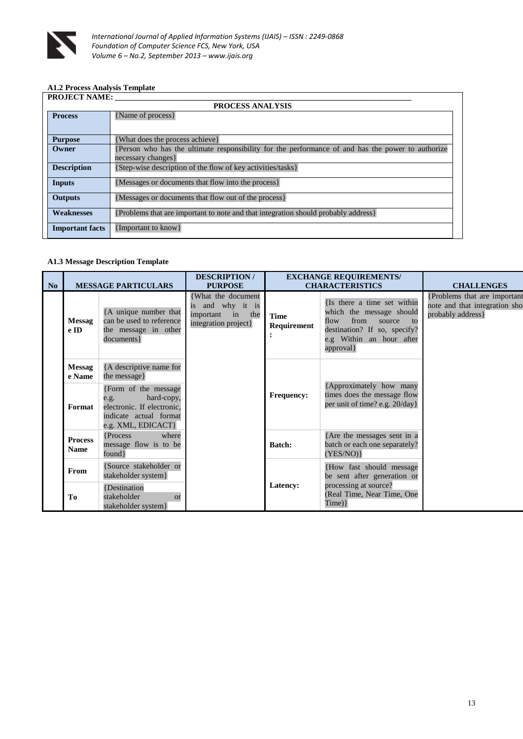

# **A1.2 Process Analysis Template**

| <b>PROJECT NAME:</b>    |                                                                                                  |  |  |  |  |
|-------------------------|--------------------------------------------------------------------------------------------------|--|--|--|--|
| <b>PROCESS ANALYSIS</b> |                                                                                                  |  |  |  |  |
| <b>Process</b>          | {Name of process}                                                                                |  |  |  |  |
|                         |                                                                                                  |  |  |  |  |
| <b>Purpose</b>          | [What does the process achieve]                                                                  |  |  |  |  |
| Owner                   | Person who has the ultimate responsibility for the performance of and has the power to authorize |  |  |  |  |
|                         | necessary changes }                                                                              |  |  |  |  |
| <b>Description</b>      | {Step-wise description of the flow of key activities/tasks}                                      |  |  |  |  |
| Inputs                  | {Messages or documents that flow into the process}                                               |  |  |  |  |
| <b>Outputs</b>          | {Messages or documents that flow out of the process}                                             |  |  |  |  |
| <b>Weaknesses</b>       | {Problems that are important to note and that integration should probably address}               |  |  |  |  |
| <b>Important facts</b>  | {Important to know}                                                                              |  |  |  |  |

### **A1.3 Message Description Template**

| N <sub>o</sub> | <b>MESSAGE PARTICULARS</b>    |                                                                                                                          | <b>DESCRIPTION/</b><br><b>PURPOSE</b>                                             | <b>EXCHANGE REQUIREMENTS/</b><br><b>CHARACTERISTICS</b> |                                                                                                                                                                | <b>CHALLENGES</b>                                                                   |
|----------------|-------------------------------|--------------------------------------------------------------------------------------------------------------------------|-----------------------------------------------------------------------------------|---------------------------------------------------------|----------------------------------------------------------------------------------------------------------------------------------------------------------------|-------------------------------------------------------------------------------------|
|                | <b>Messag</b><br>e ID         | {A unique number that<br>can be used to reference<br>the message in other<br>documents }                                 | What the document<br>is and why it is<br>important in the<br>integration project} | <b>Time</b><br>Requirement                              | {Is there a time set within<br>which the message should<br>from<br>flow<br>source to<br>destination? If so, specify?<br>e.g Within an hour after<br>approval } | {Problems that are important<br>note and that integration sho<br>probably address } |
|                | <b>Messag</b><br>e Name       | {A descriptive name for<br>the message }                                                                                 |                                                                                   |                                                         |                                                                                                                                                                |                                                                                     |
|                | Format                        | {Form of the message<br>hard-copy,<br>e.g.<br>electronic. If electronic.<br>indicate actual format<br>e.g. XML, EDICACT} |                                                                                   | <b>Frequency:</b>                                       | {Approximately how many<br>times does the message flow<br>per unit of time? e.g. 20/day}                                                                       |                                                                                     |
|                | <b>Process</b><br><b>Name</b> | {Process}<br>where<br>message flow is to be<br>found }                                                                   |                                                                                   | <b>Batch:</b>                                           | {Are the messages sent in a<br>batch or each one separately?<br>(YES/NO)                                                                                       |                                                                                     |
|                | From                          | {Source stakeholder or<br>stakeholder system }                                                                           |                                                                                   |                                                         | {How fast should message<br>be sent after generation or                                                                                                        |                                                                                     |
|                | To                            | {Destination<br>stakeholder<br><sub>or</sub><br>stakeholder system }                                                     |                                                                                   | Latency:                                                | processing at source?<br>(Real Time, Near Time, One<br>Time)                                                                                                   |                                                                                     |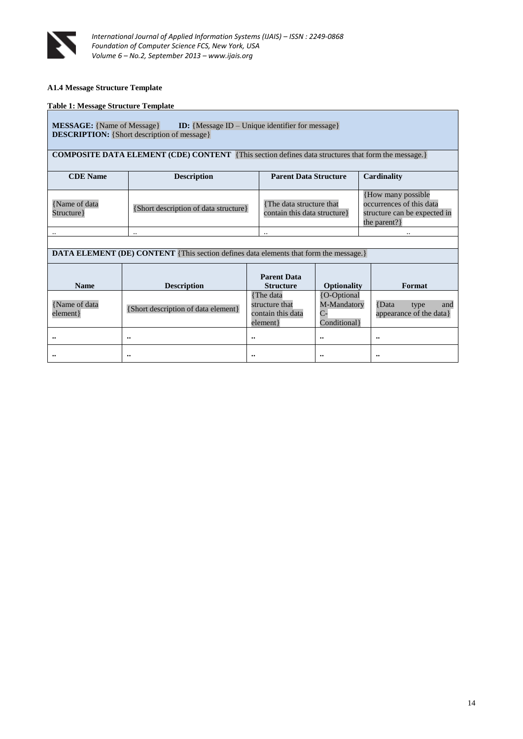

### **A1.4 Message Structure Template**

#### **Table 1: Message Structure Template**

### **MESSAGE:** {Name of Message} **ID:** {Message ID – Unique identifier for message} **DESCRIPTION:** {Short description of message}

**COMPOSITE DATA ELEMENT (CDE) CONTENT** {This section defines data structures that form the message.}

| <b>CDE</b> Name               | <b>Description</b>                    | <b>Parent Data Structure</b>                              | Cardinality                                                                                         |
|-------------------------------|---------------------------------------|-----------------------------------------------------------|-----------------------------------------------------------------------------------------------------|
|                               |                                       |                                                           |                                                                                                     |
| {Name of data}<br>Structure } | {Short description of data structure} | {The data structure that}<br>contain this data structure} | {How many possible}<br>occurrences of this data<br>structure can be expected in<br>the parent? $\}$ |
| $\cdot$ .                     |                                       |                                                           |                                                                                                     |

|  | <b>DATA ELEMENT (DE) CONTENT</b> {This section defines data elements that form the message.} |  |
|--|----------------------------------------------------------------------------------------------|--|

| <b>Name</b>                | <b>Description</b>                  | <b>Parent Data</b><br><b>Structure</b>                         | <b>Optionality</b>                                | Format                                          |
|----------------------------|-------------------------------------|----------------------------------------------------------------|---------------------------------------------------|-------------------------------------------------|
| {Name of data<br>element } | {Short description of data element} | {The data}<br>structure that<br>contain this data<br>element } | {O-Optional<br>M-Mandatory<br>С-<br>Conditional } | Data<br>and<br>type<br>appearance of the data } |
| $\bullet\bullet$           | $^{\bullet\bullet}$                 | $\bullet \bullet$                                              | $\ddot{\phantom{0}}$                              | $\bullet \bullet$                               |
|                            | $^{\bullet\bullet}$                 | $\bullet\bullet$                                               | $\bullet\bullet$                                  | $\bullet \bullet$                               |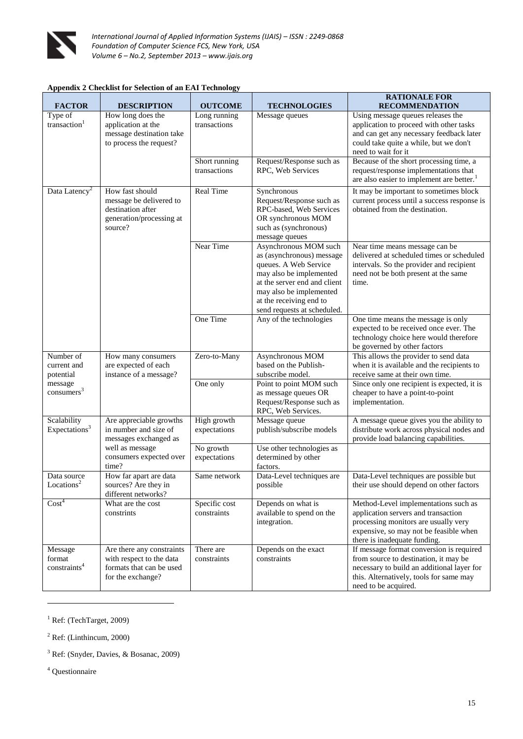

### **Appendix 2 Checklist for Selection of an EAI Technology**

<span id="page-14-2"></span><span id="page-14-0"></span>

|                                                                            |                                                                                                                                  |                               |                                                                                                                                                                                                                             | <b>RATIONALE FOR</b>                                                                                                                                                                               |
|----------------------------------------------------------------------------|----------------------------------------------------------------------------------------------------------------------------------|-------------------------------|-----------------------------------------------------------------------------------------------------------------------------------------------------------------------------------------------------------------------------|----------------------------------------------------------------------------------------------------------------------------------------------------------------------------------------------------|
| <b>FACTOR</b>                                                              | <b>DESCRIPTION</b>                                                                                                               | <b>OUTCOME</b>                | <b>TECHNOLOGIES</b>                                                                                                                                                                                                         | <b>RECOMMENDATION</b>                                                                                                                                                                              |
| Type of<br>transaction <sup>1</sup>                                        | How long does the<br>application at the<br>message destination take<br>to process the request?                                   | Long running<br>transactions  | Message queues                                                                                                                                                                                                              | Using message queues releases the<br>application to proceed with other tasks<br>and can get any necessary feedback later<br>could take quite a while, but we don't<br>need to wait for it          |
|                                                                            |                                                                                                                                  | Short running<br>transactions | Request/Response such as<br>RPC, Web Services                                                                                                                                                                               | Because of the short processing time, a<br>request/response implementations that<br>are also easier to implement are better. <sup>1</sup>                                                          |
| Data Latency <sup>2</sup>                                                  | How fast should<br>message be delivered to<br>destination after<br>generation/processing at<br>source?                           | Real Time                     | Synchronous<br>Request/Response such as<br>RPC-based, Web Services<br>OR synchronous MOM<br>such as (synchronous)<br>message queues                                                                                         | It may be important to sometimes block<br>current process until a success response is<br>obtained from the destination.                                                                            |
|                                                                            |                                                                                                                                  | Near Time                     | Asynchronous MOM such<br>as (asynchronous) message<br>queues. A Web Service<br>may also be implemented<br>at the server end and client<br>may also be implemented<br>at the receiving end to<br>send requests at scheduled. | Near time means message can be<br>delivered at scheduled times or scheduled<br>intervals. So the provider and recipient<br>need not be both present at the same<br>time.                           |
|                                                                            |                                                                                                                                  | One Time                      | Any of the technologies                                                                                                                                                                                                     | One time means the message is only<br>expected to be received once ever. The<br>technology choice here would therefore<br>be governed by other factors                                             |
| Number of<br>current and<br>potential<br>message<br>consumers <sup>3</sup> | How many consumers<br>are expected of each<br>instance of a message?                                                             | Zero-to-Many                  | Asynchronous MOM<br>based on the Publish-<br>subscribe model.                                                                                                                                                               | This allows the provider to send data<br>when it is available and the recipients to<br>receive same at their own time.                                                                             |
|                                                                            |                                                                                                                                  | One only                      | Point to point MOM such<br>as message queues OR<br>Request/Response such as<br>RPC, Web Services.                                                                                                                           | Since only one recipient is expected, it is<br>cheaper to have a point-to-point<br>implementation.                                                                                                 |
| Scalability<br>Expectations <sup>3</sup>                                   | Are appreciable growths<br>in number and size of<br>messages exchanged as<br>well as message<br>consumers expected over<br>time? | High growth<br>expectations   | Message queue<br>publish/subscribe models                                                                                                                                                                                   | A message queue gives you the ability to<br>distribute work across physical nodes and<br>provide load balancing capabilities.                                                                      |
|                                                                            |                                                                                                                                  | No growth<br>expectations     | Use other technologies as<br>determined by other<br>factors.                                                                                                                                                                |                                                                                                                                                                                                    |
| Data source<br>Locations <sup>2</sup>                                      | How far apart are data<br>sources? Are they in<br>different networks?                                                            | Same network                  | Data-Level techniques are<br>possible                                                                                                                                                                                       | Data-Level techniques are possible but<br>their use should depend on other factors                                                                                                                 |
| Cost <sup>4</sup>                                                          | What are the cost<br>constrints                                                                                                  | Specific cost<br>constraints  | Depends on what is<br>available to spend on the<br>integration.                                                                                                                                                             | Method-Level implementations such as<br>application servers and transaction<br>processing monitors are usually very<br>expensive, so may not be feasible when<br>there is inadequate funding.      |
| Message<br>format<br>constraints <sup>4</sup>                              | Are there any constraints<br>with respect to the data<br>formats that can be used<br>for the exchange?                           | There are<br>constraints      | Depends on the exact<br>constraints                                                                                                                                                                                         | If message format conversion is required<br>from source to destination, it may be<br>necessary to build an additional layer for<br>this. Alternatively, tools for same may<br>need to be acquired. |

 $1$  Ref: (TechTarget, 2009)

<sup>4</sup> Questionnaire

<span id="page-14-3"></span><span id="page-14-1"></span>**.** 

<sup>2</sup> Ref: (Linthincum, 2000)

<sup>3</sup> Ref: (Snyder, Davies, & Bosanac, 2009)